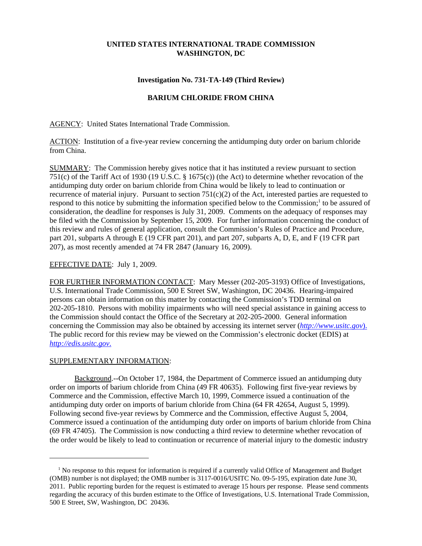# **UNITED STATES INTERNATIONAL TRADE COMMISSION WASHINGTON, DC**

## **Investigation No. 731-TA-149 (Third Review)**

## **BARIUM CHLORIDE FROM CHINA**

AGENCY: United States International Trade Commission.

ACTION: Institution of a five-year review concerning the antidumping duty order on barium chloride from China.

SUMMARY: The Commission hereby gives notice that it has instituted a review pursuant to section 751(c) of the Tariff Act of 1930 (19 U.S.C. § 1675(c)) (the Act) to determine whether revocation of the antidumping duty order on barium chloride from China would be likely to lead to continuation or recurrence of material injury. Pursuant to section  $751(c)(2)$  of the Act, interested parties are requested to respond to this notice by submitting the information specified below to the Commission;<sup>1</sup> to be assured of consideration, the deadline for responses is July 31, 2009. Comments on the adequacy of responses may be filed with the Commission by September 15, 2009. For further information concerning the conduct of this review and rules of general application, consult the Commission's Rules of Practice and Procedure, part 201, subparts A through E (19 CFR part 201), and part 207, subparts A, D, E, and F (19 CFR part 207), as most recently amended at 74 FR 2847 (January 16, 2009).

## EFFECTIVE DATE: July 1, 2009.

FOR FURTHER INFORMATION CONTACT: Mary Messer (202-205-3193) Office of Investigations, U.S. International Trade Commission, 500 E Street SW, Washington, DC 20436. Hearing-impaired persons can obtain information on this matter by contacting the Commission's TDD terminal on 202-205-1810. Persons with mobility impairments who will need special assistance in gaining access to the Commission should contact the Office of the Secretary at 202-205-2000. General information concerning the Commission may also be obtained by accessing its internet server (*http://www.usitc.gov*). The public record for this review may be viewed on the Commission's electronic docket (EDIS) at *http://edis.usitc.gov*.

#### SUPPLEMENTARY INFORMATION:

Background.--On October 17, 1984, the Department of Commerce issued an antidumping duty order on imports of barium chloride from China (49 FR 40635). Following first five-year reviews by Commerce and the Commission, effective March 10, 1999, Commerce issued a continuation of the antidumping duty order on imports of barium chloride from China (64 FR 42654, August 5, 1999). Following second five-year reviews by Commerce and the Commission, effective August 5, 2004, Commerce issued a continuation of the antidumping duty order on imports of barium chloride from China (69 FR 47405). The Commission is now conducting a third review to determine whether revocation of the order would be likely to lead to continuation or recurrence of material injury to the domestic industry

<sup>&</sup>lt;sup>1</sup> No response to this request for information is required if a currently valid Office of Management and Budget (OMB) number is not displayed; the OMB number is 3117-0016/USITC No. 09-5-195, expiration date June 30, 2011. Public reporting burden for the request is estimated to average 15 hours per response. Please send comments regarding the accuracy of this burden estimate to the Office of Investigations, U.S. International Trade Commission, 500 E Street, SW, Washington, DC 20436.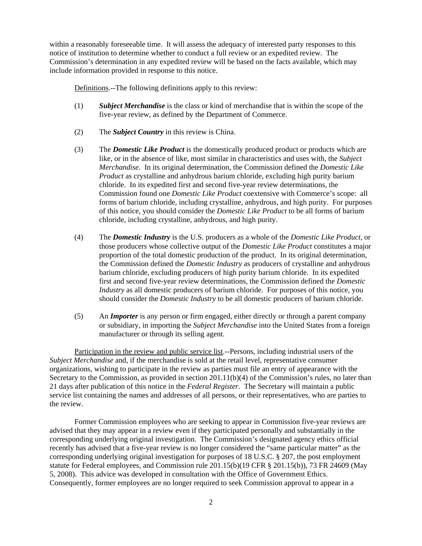within a reasonably foreseeable time. It will assess the adequacy of interested party responses to this notice of institution to determine whether to conduct a full review or an expedited review. The Commission's determination in any expedited review will be based on the facts available, which may include information provided in response to this notice.

Definitions.--The following definitions apply to this review:

- (1) *Subject Merchandise* is the class or kind of merchandise that is within the scope of the five-year review, as defined by the Department of Commerce.
- (2) The *Subject Country* in this review is China.
- (3) The *Domestic Like Product* is the domestically produced product or products which are like, or in the absence of like, most similar in characteristics and uses with, the *Subject Merchandise*. In its original determination, the Commission defined the *Domestic Like Product* as crystalline and anhydrous barium chloride, excluding high purity barium chloride. In its expedited first and second five-year review determinations, the Commission found one *Domestic Like Product* coextensive with Commerce's scope: all forms of barium chloride, including crystalline, anhydrous, and high purity. For purposes of this notice, you should consider the *Domestic Like Product* to be all forms of barium chloride, including crystalline, anhydrous, and high purity.
- (4) The *Domestic Industry* is the U.S. producers as a whole of the *Domestic Like Product*, or those producers whose collective output of the *Domestic Like Product* constitutes a major proportion of the total domestic production of the product. In its original determination, the Commission defined the *Domestic Industry* as producers of crystalline and anhydrous barium chloride, excluding producers of high purity barium chloride. In its expedited first and second five-year review determinations, the Commission defined the *Domestic Industry* as all domestic producers of barium chloride. For purposes of this notice, you should consider the *Domestic Industry* to be all domestic producers of barium chloride.
- (5) An *Importer* is any person or firm engaged, either directly or through a parent company or subsidiary, in importing the *Subject Merchandise* into the United States from a foreign manufacturer or through its selling agent.

Participation in the review and public service list.--Persons, including industrial users of the *Subject Merchandise* and, if the merchandise is sold at the retail level, representative consumer organizations, wishing to participate in the review as parties must file an entry of appearance with the Secretary to the Commission, as provided in section 201.11(b)(4) of the Commission's rules, no later than 21 days after publication of this notice in the *Federal Register*. The Secretary will maintain a public service list containing the names and addresses of all persons, or their representatives, who are parties to the review.

Former Commission employees who are seeking to appear in Commission five-year reviews are advised that they may appear in a review even if they participated personally and substantially in the corresponding underlying original investigation. The Commission's designated agency ethics official recently has advised that a five-year review is no longer considered the "same particular matter" as the corresponding underlying original investigation for purposes of 18 U.S.C. § 207, the post employment statute for Federal employees, and Commission rule 201.15(b)(19 CFR § 201.15(b)), 73 FR 24609 (May 5, 2008). This advice was developed in consultation with the Office of Government Ethics. Consequently, former employees are no longer required to seek Commission approval to appear in a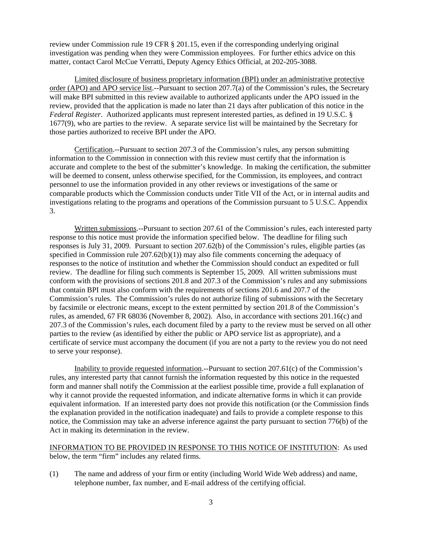review under Commission rule 19 CFR § 201.15, even if the corresponding underlying original investigation was pending when they were Commission employees. For further ethics advice on this matter, contact Carol McCue Verratti, Deputy Agency Ethics Official, at 202-205-3088.

Limited disclosure of business proprietary information (BPI) under an administrative protective order (APO) and APO service list.--Pursuant to section 207.7(a) of the Commission's rules, the Secretary will make BPI submitted in this review available to authorized applicants under the APO issued in the review, provided that the application is made no later than 21 days after publication of this notice in the *Federal Register*. Authorized applicants must represent interested parties, as defined in 19 U.S.C. § 1677(9), who are parties to the review. A separate service list will be maintained by the Secretary for those parties authorized to receive BPI under the APO.

Certification.--Pursuant to section 207.3 of the Commission's rules, any person submitting information to the Commission in connection with this review must certify that the information is accurate and complete to the best of the submitter's knowledge. In making the certification, the submitter will be deemed to consent, unless otherwise specified, for the Commission, its employees, and contract personnel to use the information provided in any other reviews or investigations of the same or comparable products which the Commission conducts under Title VII of the Act, or in internal audits and investigations relating to the programs and operations of the Commission pursuant to 5 U.S.C. Appendix 3.

Written submissions.--Pursuant to section 207.61 of the Commission's rules, each interested party response to this notice must provide the information specified below. The deadline for filing such responses is July 31, 2009. Pursuant to section 207.62(b) of the Commission's rules, eligible parties (as specified in Commission rule  $207.62(b)(1)$  may also file comments concerning the adequacy of responses to the notice of institution and whether the Commission should conduct an expedited or full review. The deadline for filing such comments is September 15, 2009. All written submissions must conform with the provisions of sections 201.8 and 207.3 of the Commission's rules and any submissions that contain BPI must also conform with the requirements of sections 201.6 and 207.7 of the Commission's rules. The Commission's rules do not authorize filing of submissions with the Secretary by facsimile or electronic means, except to the extent permitted by section 201.8 of the Commission's rules, as amended, 67 FR 68036 (November 8, 2002). Also, in accordance with sections 201.16(c) and 207.3 of the Commission's rules, each document filed by a party to the review must be served on all other parties to the review (as identified by either the public or APO service list as appropriate), and a certificate of service must accompany the document (if you are not a party to the review you do not need to serve your response).

Inability to provide requested information.--Pursuant to section 207.61(c) of the Commission's rules, any interested party that cannot furnish the information requested by this notice in the requested form and manner shall notify the Commission at the earliest possible time, provide a full explanation of why it cannot provide the requested information, and indicate alternative forms in which it can provide equivalent information. If an interested party does not provide this notification (or the Commission finds the explanation provided in the notification inadequate) and fails to provide a complete response to this notice, the Commission may take an adverse inference against the party pursuant to section 776(b) of the Act in making its determination in the review.

INFORMATION TO BE PROVIDED IN RESPONSE TO THIS NOTICE OF INSTITUTION: As used below, the term "firm" includes any related firms.

(1) The name and address of your firm or entity (including World Wide Web address) and name, telephone number, fax number, and E-mail address of the certifying official.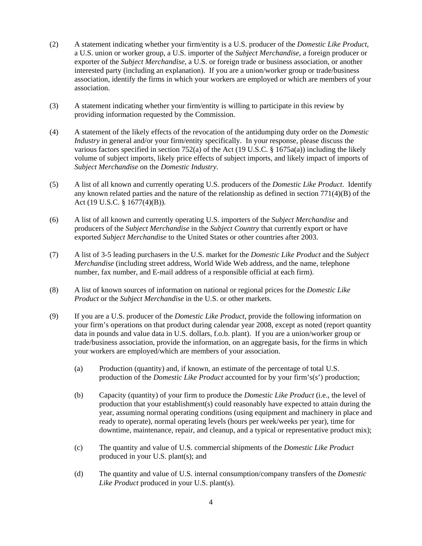- (2) A statement indicating whether your firm/entity is a U.S. producer of the *Domestic Like Product*, a U.S. union or worker group, a U.S. importer of the *Subject Merchandise*, a foreign producer or exporter of the *Subject Merchandise*, a U.S. or foreign trade or business association, or another interested party (including an explanation). If you are a union/worker group or trade/business association, identify the firms in which your workers are employed or which are members of your association.
- (3) A statement indicating whether your firm/entity is willing to participate in this review by providing information requested by the Commission.
- (4) A statement of the likely effects of the revocation of the antidumping duty order on the *Domestic Industry* in general and/or your firm/entity specifically. In your response, please discuss the various factors specified in section 752(a) of the Act (19 U.S.C. § 1675a(a)) including the likely volume of subject imports, likely price effects of subject imports, and likely impact of imports of *Subject Merchandise* on the *Domestic Industry*.
- (5) A list of all known and currently operating U.S. producers of the *Domestic Like Product*. Identify any known related parties and the nature of the relationship as defined in section 771(4)(B) of the Act (19 U.S.C. § 1677(4)(B)).
- (6) A list of all known and currently operating U.S. importers of the *Subject Merchandise* and producers of the *Subject Merchandise* in the *Subject Country* that currently export or have exported *Subject Merchandise* to the United States or other countries after 2003.
- (7) A list of 3-5 leading purchasers in the U.S. market for the *Domestic Like Product* and the *Subject Merchandise* (including street address, World Wide Web address, and the name, telephone number, fax number, and E-mail address of a responsible official at each firm).
- (8) A list of known sources of information on national or regional prices for the *Domestic Like Product* or the *Subject Merchandise* in the U.S. or other markets.
- (9) If you are a U.S. producer of the *Domestic Like Product*, provide the following information on your firm's operations on that product during calendar year 2008, except as noted (report quantity data in pounds and value data in U.S. dollars, f.o.b. plant). If you are a union/worker group or trade/business association, provide the information, on an aggregate basis, for the firms in which your workers are employed/which are members of your association.
	- (a) Production (quantity) and, if known, an estimate of the percentage of total U.S. production of the *Domestic Like Product* accounted for by your firm's(s') production;
	- (b) Capacity (quantity) of your firm to produce the *Domestic Like Product* (i.e., the level of production that your establishment(s) could reasonably have expected to attain during the year, assuming normal operating conditions (using equipment and machinery in place and ready to operate), normal operating levels (hours per week/weeks per year), time for downtime, maintenance, repair, and cleanup, and a typical or representative product mix);
	- (c) The quantity and value of U.S. commercial shipments of the *Domestic Like Product* produced in your U.S. plant(s); and
	- (d) The quantity and value of U.S. internal consumption/company transfers of the *Domestic Like Product* produced in your U.S. plant(s).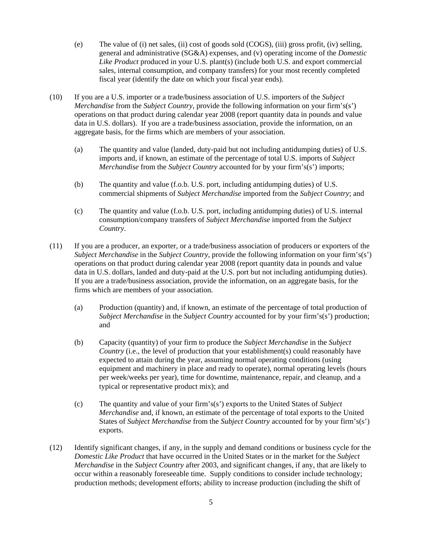- (e) The value of (i) net sales, (ii) cost of goods sold (COGS), (iii) gross profit, (iv) selling, general and administrative (SG&A) expenses, and (v) operating income of the *Domestic Like Product* produced in your U.S. plant(s) (include both U.S. and export commercial sales, internal consumption, and company transfers) for your most recently completed fiscal year (identify the date on which your fiscal year ends).
- (10) If you are a U.S. importer or a trade/business association of U.S. importers of the *Subject Merchandise* from the *Subject Country*, provide the following information on your firm's(s') operations on that product during calendar year 2008 (report quantity data in pounds and value data in U.S. dollars). If you are a trade/business association, provide the information, on an aggregate basis, for the firms which are members of your association.
	- (a) The quantity and value (landed, duty-paid but not including antidumping duties) of U.S. imports and, if known, an estimate of the percentage of total U.S. imports of *Subject Merchandise* from the *Subject Country* accounted for by your firm's(s') imports;
	- (b) The quantity and value (f.o.b. U.S. port, including antidumping duties) of U.S. commercial shipments of *Subject Merchandise* imported from the *Subject Country*; and
	- (c) The quantity and value (f.o.b. U.S. port, including antidumping duties) of U.S. internal consumption/company transfers of *Subject Merchandise* imported from the *Subject Country*.
- (11) If you are a producer, an exporter, or a trade/business association of producers or exporters of the *Subject Merchandise* in the *Subject Country*, provide the following information on your firm's(s') operations on that product during calendar year 2008 (report quantity data in pounds and value data in U.S. dollars, landed and duty-paid at the U.S. port but not including antidumping duties). If you are a trade/business association, provide the information, on an aggregate basis, for the firms which are members of your association.
	- (a) Production (quantity) and, if known, an estimate of the percentage of total production of *Subject Merchandise* in the *Subject Country* accounted for by your firm's(s') production; and
	- (b) Capacity (quantity) of your firm to produce the *Subject Merchandise* in the *Subject Country* (i.e., the level of production that your establishment(s) could reasonably have expected to attain during the year, assuming normal operating conditions (using equipment and machinery in place and ready to operate), normal operating levels (hours per week/weeks per year), time for downtime, maintenance, repair, and cleanup, and a typical or representative product mix); and
	- (c) The quantity and value of your firm's(s') exports to the United States of *Subject Merchandise* and, if known, an estimate of the percentage of total exports to the United States of *Subject Merchandise* from the *Subject Country* accounted for by your firm's(s') exports.
- (12) Identify significant changes, if any, in the supply and demand conditions or business cycle for the *Domestic Like Product* that have occurred in the United States or in the market for the *Subject Merchandise* in the *Subject Country* after 2003, and significant changes, if any, that are likely to occur within a reasonably foreseeable time. Supply conditions to consider include technology; production methods; development efforts; ability to increase production (including the shift of